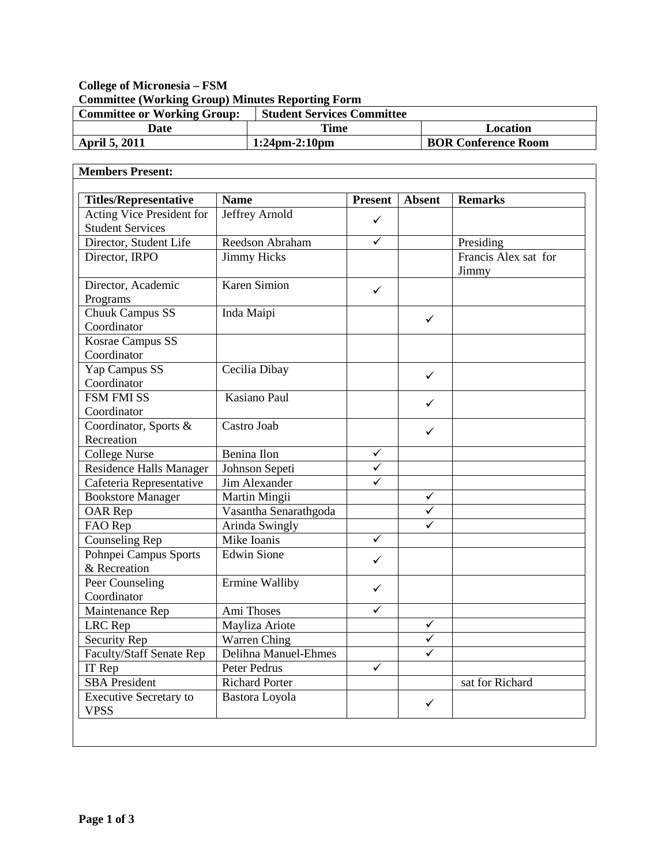# **College of Micronesia – FSM Committee (Working Group) Minutes Reporting Form**

| <b>Committee or Working Group:</b> | <b>Student Services Committee</b> |                            |
|------------------------------------|-----------------------------------|----------------------------|
| Date                               | Time                              | Location                   |
| <b>April 5, 2011</b>               | $1:24$ pm-2:10pm                  | <b>BOR Conference Room</b> |

| <b>Titles/Representative</b>                         | <b>Name</b>           | <b>Present</b>          | <b>Absent</b> | <b>Remarks</b>       |
|------------------------------------------------------|-----------------------|-------------------------|---------------|----------------------|
|                                                      | Jeffrey Arnold        |                         |               |                      |
| Acting Vice President for<br><b>Student Services</b> |                       | ✓                       |               |                      |
| Director, Student Life                               | Reedson Abraham       | ✓                       |               | Presiding            |
| Director, IRPO                                       | <b>Jimmy Hicks</b>    |                         |               | Francis Alex sat for |
|                                                      |                       |                         |               | Jimmy                |
| Director, Academic                                   | <b>Karen Simion</b>   | $\checkmark$            |               |                      |
| Programs                                             |                       |                         |               |                      |
| Chuuk Campus SS                                      | Inda Maipi            |                         | $\checkmark$  |                      |
| Coordinator                                          |                       |                         |               |                      |
| Kosrae Campus SS                                     |                       |                         |               |                      |
| Coordinator                                          |                       |                         |               |                      |
| Yap Campus SS                                        | Cecilia Dibay         |                         | $\checkmark$  |                      |
| Coordinator                                          |                       |                         |               |                      |
| <b>FSM FMI SS</b>                                    | Kasiano Paul          |                         | ✓             |                      |
| Coordinator                                          |                       |                         |               |                      |
| Coordinator, Sports &                                | Castro Joab           |                         | $\checkmark$  |                      |
| Recreation                                           |                       |                         |               |                      |
| <b>College Nurse</b>                                 | Benina Ilon           | $\checkmark$            |               |                      |
| <b>Residence Halls Manager</b>                       | Johnson Sepeti        | $\overline{\checkmark}$ |               |                      |
| Cafeteria Representative                             | Jim Alexander         |                         |               |                      |
| <b>Bookstore Manager</b>                             | Martin Mingii         |                         | $\checkmark$  |                      |
| OAR Rep                                              | Vasantha Senarathgoda |                         | ✓             |                      |
| FAO Rep                                              | Arinda Swingly        |                         | ✓             |                      |
| <b>Counseling Rep</b>                                | Mike Ioanis           | $\checkmark$            |               |                      |
| Pohnpei Campus Sports                                | <b>Edwin Sione</b>    | ✓                       |               |                      |
| & Recreation                                         |                       |                         |               |                      |
| Peer Counseling                                      | Ermine Walliby        | $\checkmark$            |               |                      |
| Coordinator                                          |                       |                         |               |                      |
| Maintenance Rep                                      | Ami Thoses            | ✓                       |               |                      |
| LRC Rep                                              | Mayliza Ariote        |                         | $\checkmark$  |                      |
| <b>Security Rep</b>                                  | Warren Ching          |                         | $\checkmark$  |                      |
| <b>Faculty/Staff Senate Rep</b>                      | Delihna Manuel-Ehmes  |                         |               |                      |
| IT Rep                                               | Peter Pedrus          | $\checkmark$            |               |                      |
| <b>SBA</b> President                                 | <b>Richard Porter</b> |                         |               | sat for Richard      |
| <b>Executive Secretary to</b><br><b>VPSS</b>         | Bastora Loyola        |                         | $\checkmark$  |                      |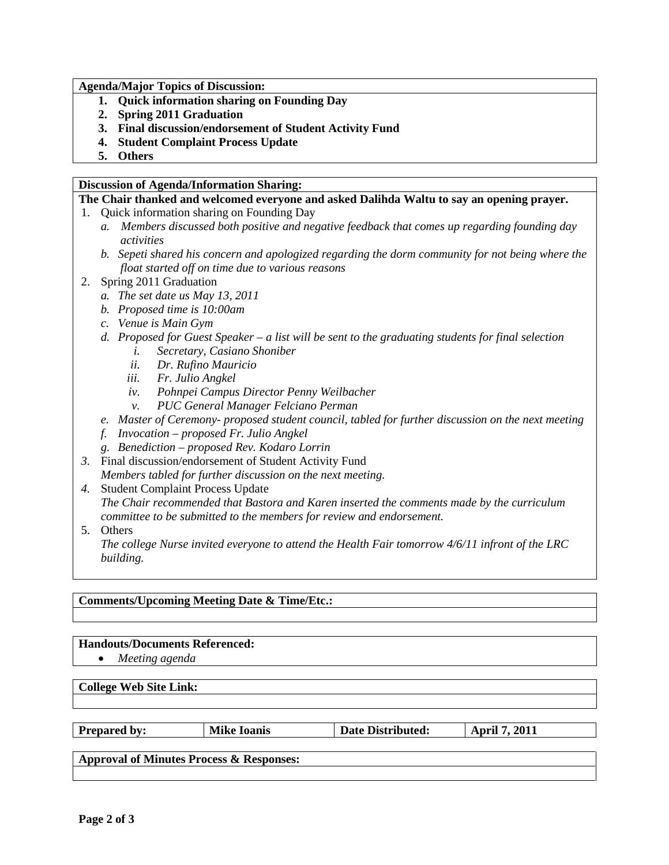**Agenda/Major Topics of Discussion:**

- **1. Quick information sharing on Founding Day**
- **2. Spring 2011 Graduation**
- **3. Final discussion/endorsement of Student Activity Fund**
- **4. Student Complaint Process Update**
- **5. Others**

#### **Discussion of Agenda/Information Sharing:**

### **The Chair thanked and welcomed everyone and asked Dalihda Waltu to say an opening prayer.**

- 1. Quick information sharing on Founding Day
	- *a. Members discussed both positive and negative feedback that comes up regarding founding day activities*
	- *b. Sepeti shared his concern and apologized regarding the dorm community for not being where the float started off on time due to various reasons*
- 2. Spring 2011 Graduation
	- *a. The set date us May 13, 2011*
	- *b. Proposed time is 10:00am*
	- *c. Venue is Main Gym*
	- *d. Proposed for Guest Speaker – a list will be sent to the graduating students for final selection*
		- *i. Secretary, Casiano Shoniber*
		- *ii. Dr. Rufino Mauricio*
		- *iii. Fr. Julio Angkel*
		- *iv. Pohnpei Campus Director Penny Weilbacher*
		- *v. PUC General Manager Felciano Perman*
	- *e. Master of Ceremony- proposed student council, tabled for further discussion on the next meeting*
	- *f. Invocation – proposed Fr. Julio Angkel*
	- *g. Benediction – proposed Rev. Kodaro Lorrin*
- *3.* Final discussion/endorsement of Student Activity Fund *Members tabled for further discussion on the next meeting.*
- *4.* Student Complaint Process Update *The Chair recommended that Bastora and Karen inserted the comments made by the curriculum committee to be submitted to the members for review and endorsement.*
- 5. Others

*The college Nurse invited everyone to attend the Health Fair tomorrow 4/6/11 infront of the LRC building.*

## **Comments/Upcoming Meeting Date & Time/Etc.:**

### **Handouts/Documents Referenced:**

• *Meeting agenda*

### **College Web Site Link:**

| <b>Prepared by:</b>                      | <b>Mike Ioanis</b> | <b>Date Distributed:</b> | <b>April 7, 2011</b> |  |
|------------------------------------------|--------------------|--------------------------|----------------------|--|
|                                          |                    |                          |                      |  |
| Approval of Minutes Process & Responses: |                    |                          |                      |  |